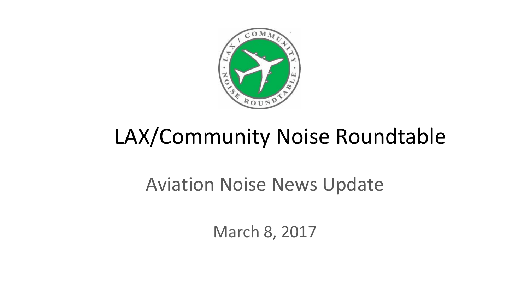

# LAX/Community Noise Roundtable

#### Aviation Noise News Update

March 8, 2017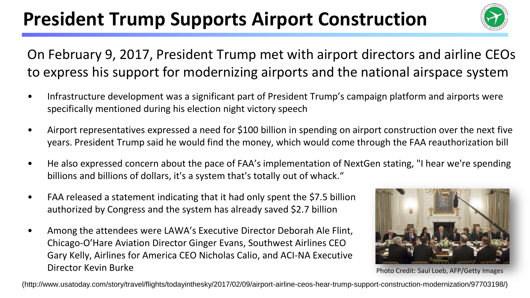## **President Trump Supports Airport Construction**



On February 9, 2017, President Trump met with airport directors and airline CEOs to express his support for modernizing airports and the national airspace system

- Infrastructure development was a significant part of President Trump's campaign platform and airports were specifically mentioned during his election night victory speech
- Airport representatives expressed a need for \$100 billion in spending on airport construction over the next five years. President Trump said he would find the money, which would come through the FAA reauthorization bill
- He also expressed concern about the pace of FAA's implementation of NextGen stating, "I hear we're spending billions and billions of dollars, it's a system that's totally out of whack."
- FAA released a statement indicating that it had only spent the \$7.5 billion authorized by Congress and the system has already saved \$2.7 billion
- Among the attendees were LAWA's Executive Director Deborah Ale Flint, Chicago-O'Hare Aviation Director Ginger Evans, Southwest Airlines CEO Gary Kelly, Airlines for America CEO Nicholas Calio, and ACI-NA Executive Director Kevin Burke



Photo Credit: Saul Loeb, AFP/Getty Images

(http://www.usatoday.com/story/travel/flights/todayinthesky/2017/02/09/airport-airline-ceos-hear-trump-support-construction-modernization/97703198/)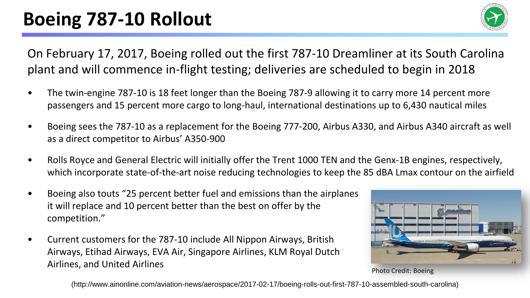### **FAM IMPLEMENT BOEING 787-10 Rollout**



On February 17, 2017, Boeing rolled out the first 787-10 Dreamliner at its South Carolina plant and will commence in-flight testing; deliveries are scheduled to begin in 2018

- The twin-engine 787-10 is 18 feet longer than the Boeing 787-9 allowing it to carry more 14 percent more passengers and 15 percent more cargo to long-haul, international destinations up to 6,430 nautical miles
- Boeing sees the 787-10 as a replacement for the Boeing 777-200, Airbus A330, and Airbus A340 aircraft as well as a direct competitor to Airbus' A350-900
- Rolls Royce and General Electric will initially offer the Trent 1000 TEN and the Genx-1B engines, respectively, which incorporate state-of-the-art noise reducing technologies to keep the 85 dBA Lmax contour on the airfield
- Boeing also touts "25 percent better fuel and emissions than the airplanes it will replace and 10 percent better than the best on offer by the competition."
- Current customers for the 787-10 include All Nippon Airways, British Airways, Etihad Airways, EVA Air, Singapore Airlines, KLM Royal Dutch Airlines, and United Airlines



Photo Credit: Boeing

(http://www.ainonline.com/aviation-news/aerospace/2017-02-17/boeing-rolls-out-first-787-10-assembled-south-carolina)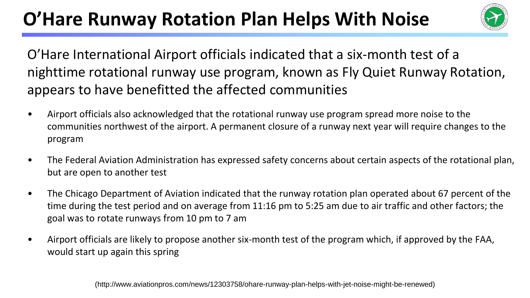### **O'Hare Runway Rotation Plan Helps With Noise**



O'Hare International Airport officials indicated that a six-month test of a nighttime rotational runway use program, known as Fly Quiet Runway Rotation, appears to have benefitted the affected communities

- Airport officials also acknowledged that the rotational runway use program spread more noise to the communities northwest of the airport. A permanent closure of a runway next year will require changes to the program
- The Federal Aviation Administration has expressed safety concerns about certain aspects of the rotational plan, but are open to another test
- The Chicago Department of Aviation indicated that the runway rotation plan operated about 67 percent of the time during the test period and on average from 11:16 pm to 5:25 am due to air traffic and other factors; the goal was to rotate runways from 10 pm to 7 am
- Airport officials are likely to propose another six-month test of the program which, if approved by the FAA, would start up again this spring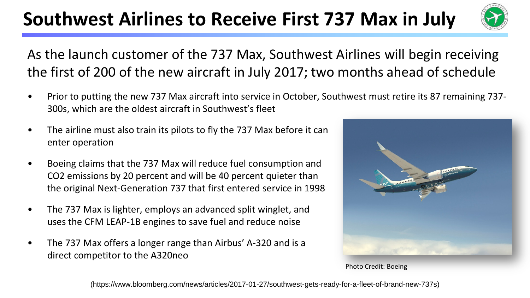### **Southwest Airlines to Receive First 737 Max in July**



As the launch customer of the 737 Max, Southwest Airlines will begin receiving the first of 200 of the new aircraft in July 2017; two months ahead of schedule

- Prior to putting the new 737 Max aircraft into service in October, Southwest must retire its 87 remaining 737- 300s, which are the oldest aircraft in Southwest's fleet
- The airline must also train its pilots to fly the 737 Max before it can enter operation
- Boeing claims that the 737 Max will reduce fuel consumption and CO2 emissions by 20 percent and will be 40 percent quieter than the original Next-Generation 737 that first entered service in 1998
- The 737 Max is lighter, employs an advanced split winglet, and uses the CFM LEAP-1B engines to save fuel and reduce noise
- The 737 Max offers a longer range than Airbus' A-320 and is a direct competitor to the A320neo



Photo Credit: Boeing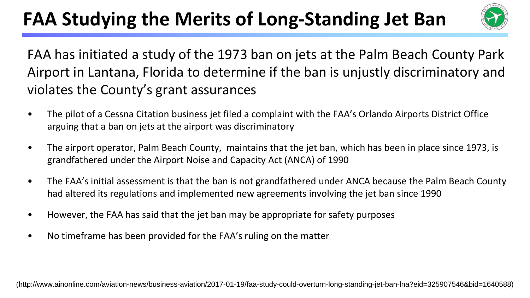## FAA Studying the Merits of Long-Standing Jet Ban



FAA has initiated a study of the 1973 ban on jets at the Palm Beach County Park Airport in Lantana, Florida to determine if the ban is unjustly discriminatory and violates the County's grant assurances

- The pilot of a Cessna Citation business jet filed a complaint with the FAA's Orlando Airports District Office arguing that a ban on jets at the airport was discriminatory
- The airport operator, Palm Beach County, maintains that the jet ban, which has been in place since 1973, is grandfathered under the Airport Noise and Capacity Act (ANCA) of 1990
- The FAA's initial assessment is that the ban is not grandfathered under ANCA because the Palm Beach County had altered its regulations and implemented new agreements involving the jet ban since 1990
- However, the FAA has said that the jet ban may be appropriate for safety purposes
- No timeframe has been provided for the FAA's ruling on the matter